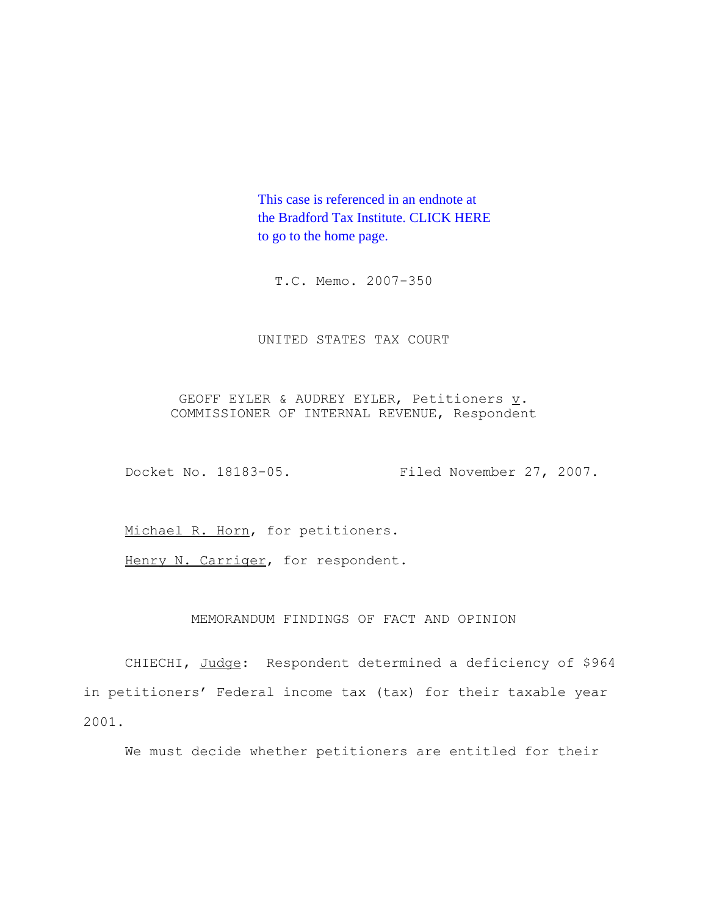This case is referenced in an endnote at [the Bradford Tax Institute. CLICK HERE](http://www.bradfordtaxinstitute.com/) to go to the home page.

T.C. Memo. 2007-350

UNITED STATES TAX COURT

GEOFF EYLER & AUDREY EYLER, Petitioners  $\underline{v}$ . COMMISSIONER OF INTERNAL REVENUE, Respondent

Docket No. 18183-05. Filed November 27, 2007.

Michael R. Horn, for petitioners.

Henry N. Carriger, for respondent.

## MEMORANDUM FINDINGS OF FACT AND OPINION

CHIECHI, Judge: Respondent determined a deficiency of \$964 in petitioners' Federal income tax (tax) for their taxable year 2001.

We must decide whether petitioners are entitled for their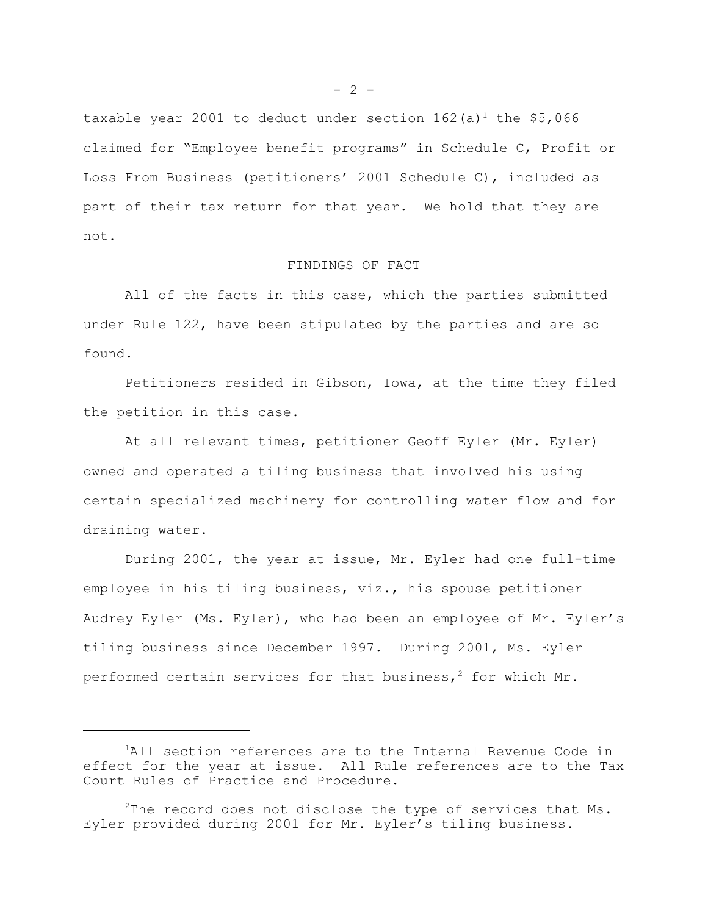taxable year 2001 to deduct under section  $162(a)^1$  the \$5,066 claimed for "Employee benefit programs" in Schedule C, Profit or Loss From Business (petitioners' 2001 Schedule C), included as part of their tax return for that year. We hold that they are not.

## FINDINGS OF FACT

All of the facts in this case, which the parties submitted under Rule 122, have been stipulated by the parties and are so found.

Petitioners resided in Gibson, Iowa, at the time they filed the petition in this case.

At all relevant times, petitioner Geoff Eyler (Mr. Eyler) owned and operated a tiling business that involved his using certain specialized machinery for controlling water flow and for draining water.

During 2001, the year at issue, Mr. Eyler had one full-time employee in his tiling business, viz., his spouse petitioner Audrey Eyler (Ms. Eyler), who had been an employee of Mr. Eyler's tiling business since December 1997. During 2001, Ms. Eyler performed certain services for that business,<sup>2</sup> for which Mr.

<sup>&</sup>lt;sup>1</sup>All section references are to the Internal Revenue Code in effect for the year at issue. All Rule references are to the Tax Court Rules of Practice and Procedure.

 $2$ The record does not disclose the type of services that Ms. Eyler provided during 2001 for Mr. Eyler's tiling business.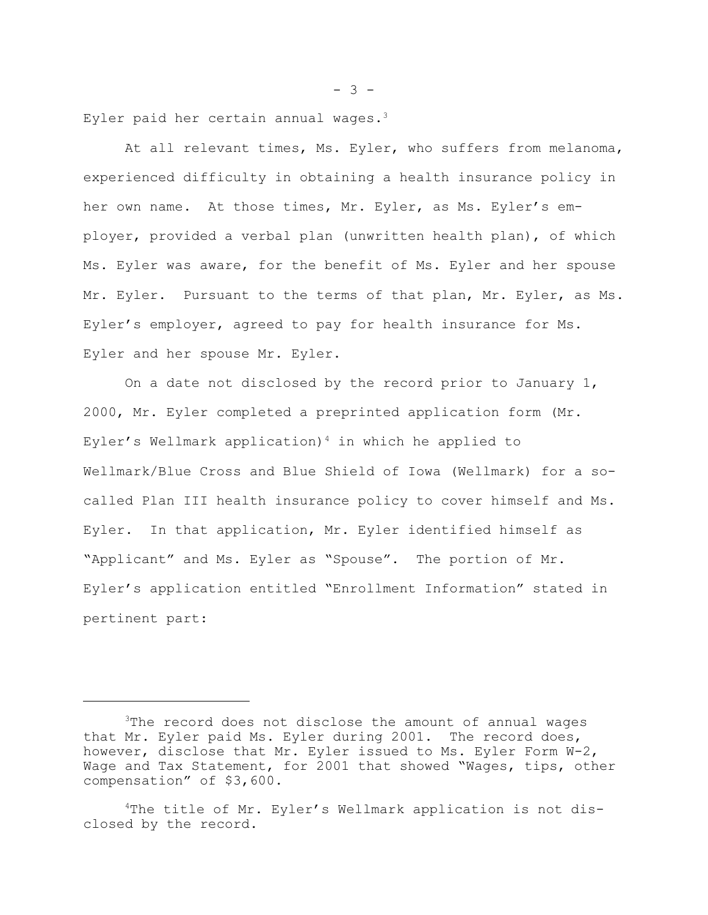Eyler paid her certain annual wages. $3$ 

At all relevant times, Ms. Eyler, who suffers from melanoma, experienced difficulty in obtaining a health insurance policy in her own name. At those times, Mr. Eyler, as Ms. Eyler's employer, provided a verbal plan (unwritten health plan), of which Ms. Eyler was aware, for the benefit of Ms. Eyler and her spouse Mr. Eyler. Pursuant to the terms of that plan, Mr. Eyler, as Ms. Eyler's employer, agreed to pay for health insurance for Ms. Eyler and her spouse Mr. Eyler.

On a date not disclosed by the record prior to January 1, 2000, Mr. Eyler completed a preprinted application form (Mr. Eyler's Wellmark application)<sup>4</sup> in which he applied to Wellmark/Blue Cross and Blue Shield of Iowa (Wellmark) for a socalled Plan III health insurance policy to cover himself and Ms. Eyler. In that application, Mr. Eyler identified himself as "Applicant" and Ms. Eyler as "Spouse". The portion of Mr. Eyler's application entitled "Enrollment Information" stated in pertinent part:

 $- 3 -$ 

<sup>&</sup>lt;sup>3</sup>The record does not disclose the amount of annual wages that Mr. Eyler paid Ms. Eyler during 2001. The record does, however, disclose that Mr. Eyler issued to Ms. Eyler Form W-2, Wage and Tax Statement, for 2001 that showed "Wages, tips, other compensation" of \$3,600.

<sup>4</sup>The title of Mr. Eyler's Wellmark application is not disclosed by the record.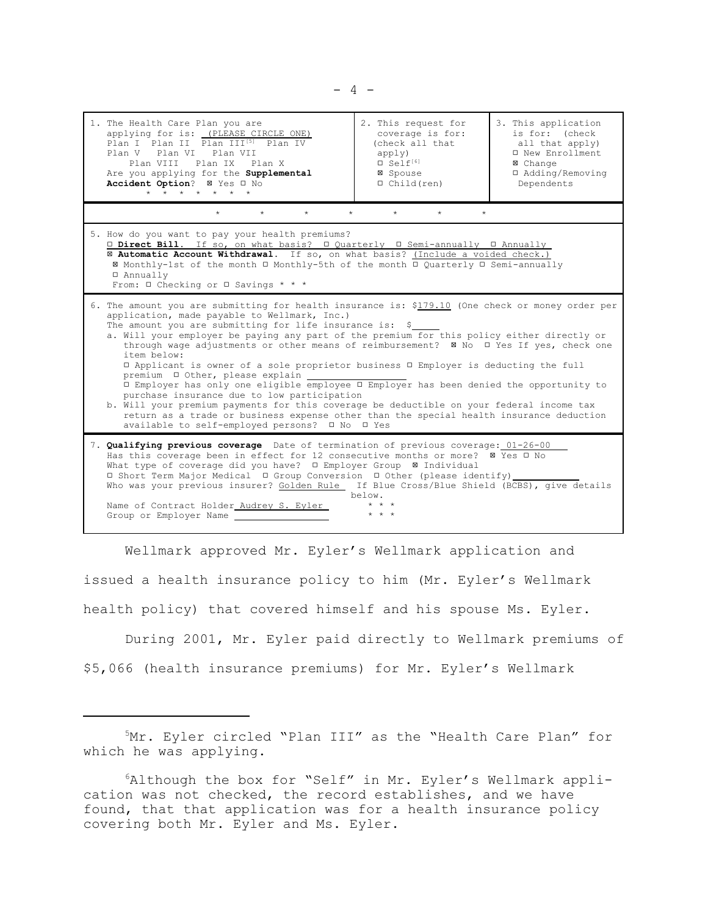| 1. The Health Care Plan you are<br>applying for is: (PLEASE CIRCLE ONE)<br>Plan I Plan II Plan III <sup>[5]</sup> Plan IV<br>Plan V Plan VI Plan VII<br>Plan VIII Plan IX Plan X<br>Are you applying for the Supplemental<br>Accident Option? Ø Yes I No<br>$\star$ $\star$ $\star$ $\star$<br>$\star$<br>$\star$                                                                                                                                                                                                                                                                                                                                                                                                                                                                                                                                                                                                               | 2. This request for<br>coverage is for:<br>(check all that<br>apply)<br>$S$ elf <sup>[6]</sup><br>⊠ Spouse<br>$\Box$ Child (ren) | 3. This application<br>is for: (check<br>all that apply)<br>□ New Enrollment<br>⊠ Change<br>□ Adding/Removing<br>Dependents |
|---------------------------------------------------------------------------------------------------------------------------------------------------------------------------------------------------------------------------------------------------------------------------------------------------------------------------------------------------------------------------------------------------------------------------------------------------------------------------------------------------------------------------------------------------------------------------------------------------------------------------------------------------------------------------------------------------------------------------------------------------------------------------------------------------------------------------------------------------------------------------------------------------------------------------------|----------------------------------------------------------------------------------------------------------------------------------|-----------------------------------------------------------------------------------------------------------------------------|
| $\star$<br>$\star$<br>$\star$<br>$\star$<br>$\star$<br>$\star$<br>$\star$                                                                                                                                                                                                                                                                                                                                                                                                                                                                                                                                                                                                                                                                                                                                                                                                                                                       |                                                                                                                                  |                                                                                                                             |
| 5. How do you want to pay your health premiums?<br><b>□ Direct Bill.</b> If so, on what basis? □ Quarterly □ Semi-annually □ Annually<br>E Automatic Account Withdrawal. If so, on what basis? (Include a voided check.)<br>⊠ Monthly-1st of the month □ Monthly-5th of the month □ Quarterly □ Semi-annually<br>□ Annually<br>From: $\Box$ Checking or $\Box$ Savings * * *                                                                                                                                                                                                                                                                                                                                                                                                                                                                                                                                                    |                                                                                                                                  |                                                                                                                             |
| 6. The amount you are submitting for health insurance is: \$179.10 (One check or money order per<br>application, made payable to Wellmark, Inc.)<br>The amount you are submitting for life insurance is: \$<br>a. Will your employer be paying any part of the premium for this policy either directly or<br>through wage adjustments or other means of reimbursement? ⊠ No □ Yes If yes, check one<br>item below:<br>□ Applicant is owner of a sole proprietor business □ Employer is deducting the full<br>premium □ Other, please explain<br>I Employer has only one eligible employee I Employer has been denied the opportunity to<br>purchase insurance due to low participation<br>b. Will your premium payments for this coverage be deductible on your federal income tax<br>return as a trade or business expense other than the special health insurance deduction<br>available to self-employed persons? □ No □ Yes |                                                                                                                                  |                                                                                                                             |
| 7. Qualifying previous coverage Date of termination of previous coverage: 01-26-00<br>Has this coverage been in effect for 12 consecutive months or more? ⊠ Yes □ No<br>What type of coverage did you have? □ Employer Group ⊠ Individual<br>□ Short Term Major Medical □ Group Conversion □ Other (please identify)<br>Who was your previous insurer? Golden Rule If Blue Cross/Blue Shield (BCBS), give details<br>below.<br>Name of Contract Holder Audrey S. Eyler<br>$\star$ $\star$ $\star$<br>Group or Employer Name                                                                                                                                                                                                                                                                                                                                                                                                     |                                                                                                                                  |                                                                                                                             |

Wellmark approved Mr. Eyler's Wellmark application and issued a health insurance policy to him (Mr. Eyler's Wellmark health policy) that covered himself and his spouse Ms. Eyler.

During 2001, Mr. Eyler paid directly to Wellmark premiums of \$5,066 (health insurance premiums) for Mr. Eyler's Wellmark

5Mr. Eyler circled "Plan III" as the "Health Care Plan" for which he was applying.

<sup>6</sup>Although the box for "Self" in Mr. Eyler's Wellmark application was not checked, the record establishes, and we have found, that that application was for a health insurance policy covering both Mr. Eyler and Ms. Eyler.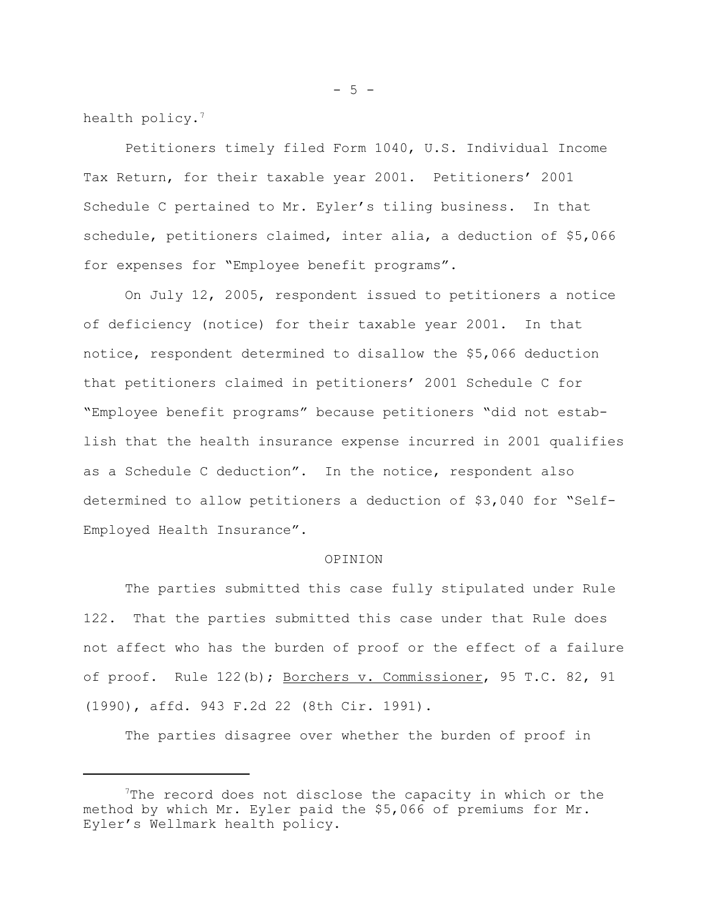health policy.<sup>7</sup>

Petitioners timely filed Form 1040, U.S. Individual Income Tax Return, for their taxable year 2001. Petitioners' 2001 Schedule C pertained to Mr. Eyler's tiling business. In that schedule, petitioners claimed, inter alia, a deduction of \$5,066 for expenses for "Employee benefit programs".

On July 12, 2005, respondent issued to petitioners a notice of deficiency (notice) for their taxable year 2001. In that notice, respondent determined to disallow the \$5,066 deduction that petitioners claimed in petitioners' 2001 Schedule C for "Employee benefit programs" because petitioners "did not establish that the health insurance expense incurred in 2001 qualifies as a Schedule C deduction". In the notice, respondent also determined to allow petitioners a deduction of \$3,040 for "Self-Employed Health Insurance".

## OPINION

The parties submitted this case fully stipulated under Rule 122. That the parties submitted this case under that Rule does not affect who has the burden of proof or the effect of a failure of proof. Rule 122(b); Borchers v. Commissioner, 95 T.C. 82, 91 (1990), affd. 943 F.2d 22 (8th Cir. 1991).

The parties disagree over whether the burden of proof in

 $- 5 -$ 

<sup>7</sup>The record does not disclose the capacity in which or the method by which Mr. Eyler paid the \$5,066 of premiums for Mr. Eyler's Wellmark health policy.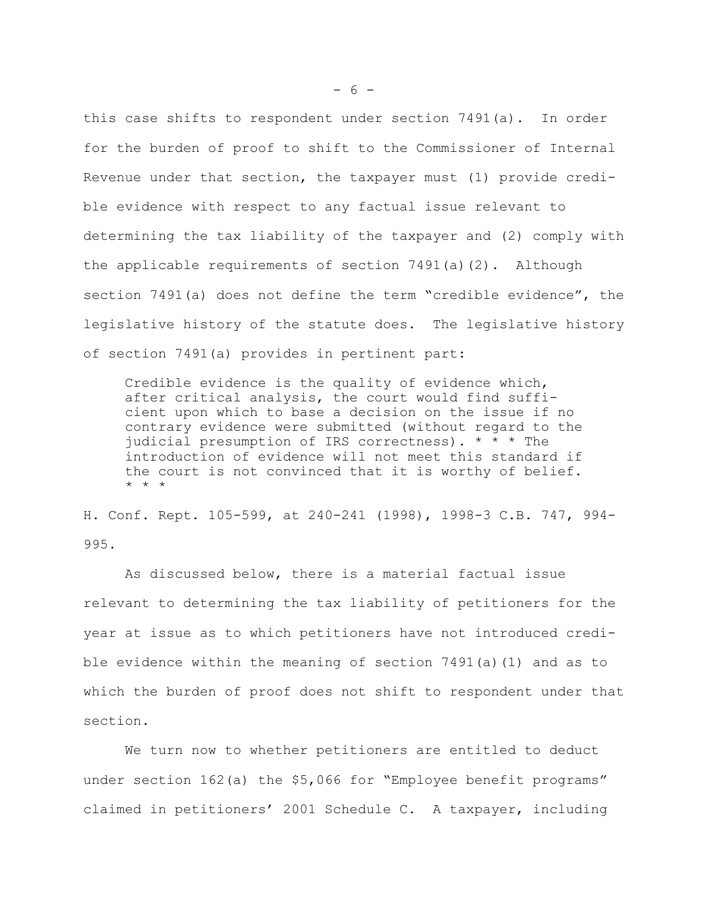this case shifts to respondent under section 7491(a). In order for the burden of proof to shift to the Commissioner of Internal Revenue under that section, the taxpayer must (1) provide credible evidence with respect to any factual issue relevant to determining the tax liability of the taxpayer and (2) comply with the applicable requirements of section 7491(a)(2). Although section 7491(a) does not define the term "credible evidence", the legislative history of the statute does. The legislative history of section 7491(a) provides in pertinent part:

Credible evidence is the quality of evidence which, after critical analysis, the court would find sufficient upon which to base a decision on the issue if no contrary evidence were submitted (without regard to the judicial presumption of IRS correctness). \* \* \* The introduction of evidence will not meet this standard if the court is not convinced that it is worthy of belief. \* \* \*

H. Conf. Rept. 105-599, at 240-241 (1998), 1998-3 C.B. 747, 994- 995.

As discussed below, there is a material factual issue relevant to determining the tax liability of petitioners for the year at issue as to which petitioners have not introduced credible evidence within the meaning of section 7491(a)(1) and as to which the burden of proof does not shift to respondent under that section.

We turn now to whether petitioners are entitled to deduct under section 162(a) the \$5,066 for "Employee benefit programs" claimed in petitioners' 2001 Schedule C. A taxpayer, including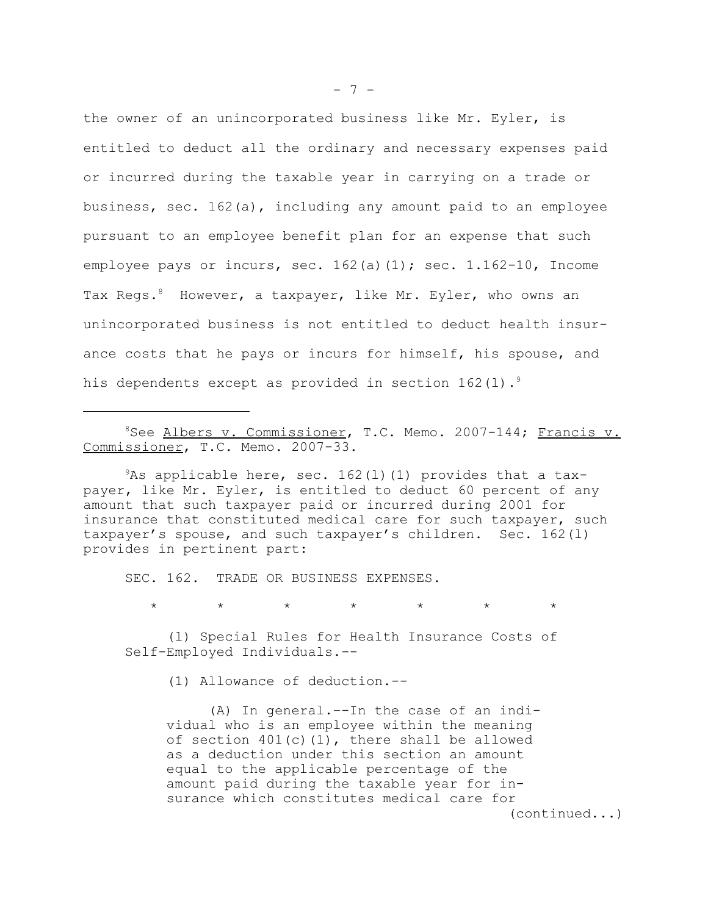the owner of an unincorporated business like Mr. Eyler, is entitled to deduct all the ordinary and necessary expenses paid or incurred during the taxable year in carrying on a trade or business, sec. 162(a), including any amount paid to an employee pursuant to an employee benefit plan for an expense that such employee pays or incurs, sec.  $162(a)(1)$ ; sec.  $1.162-10$ , Income Tax Regs.<sup>8</sup> However, a taxpayer, like Mr. Eyler, who owns an unincorporated business is not entitled to deduct health insurance costs that he pays or incurs for himself, his spouse, and his dependents except as provided in section  $162(1)$ .<sup>9</sup>

<sup>8</sup>See Albers v. Commissioner, T.C. Memo. 2007-144; Francis v. Commissioner, T.C. Memo. 2007-33.

 $9As$  applicable here, sec. 162(1)(1) provides that a taxpayer, like Mr. Eyler, is entitled to deduct 60 percent of any amount that such taxpayer paid or incurred during 2001 for insurance that constituted medical care for such taxpayer, such taxpayer's spouse, and such taxpayer's children. Sec. 162(l) provides in pertinent part:

SEC. 162. TRADE OR BUSINESS EXPENSES.

 $\star\qquad\qquad\star\qquad\qquad\star\qquad\qquad\star\qquad\qquad\star\qquad\qquad\star$ 

(l) Special Rules for Health Insurance Costs of Self-Employed Individuals.--

(1) Allowance of deduction.--

(A) In general.–-In the case of an individual who is an employee within the meaning of section 401(c)(1), there shall be allowed as a deduction under this section an amount equal to the applicable percentage of the amount paid during the taxable year for insurance which constitutes medical care for (continued...)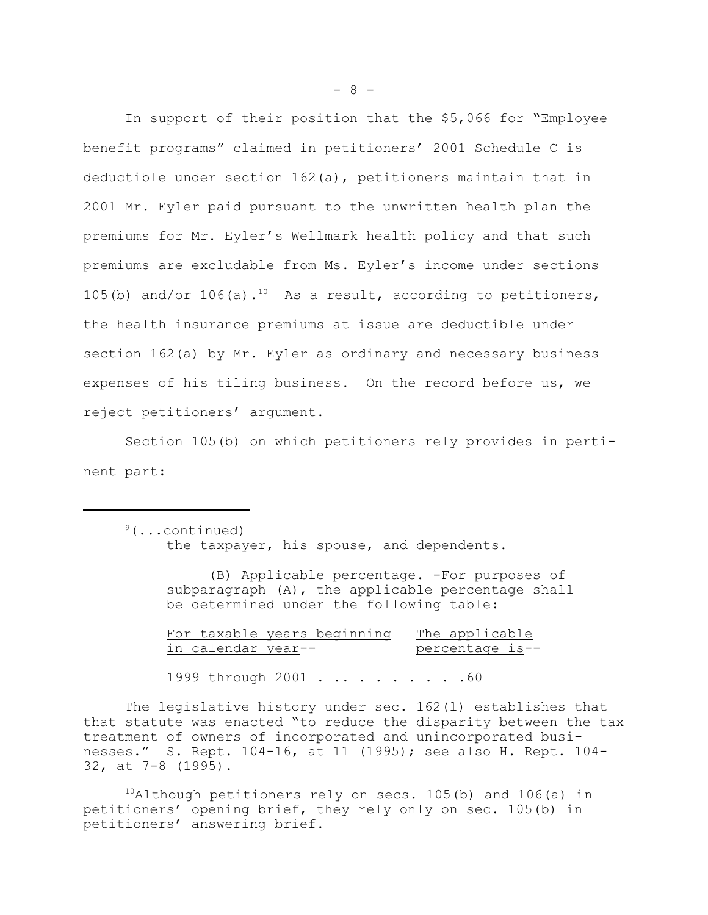In support of their position that the \$5,066 for "Employee benefit programs" claimed in petitioners' 2001 Schedule C is deductible under section 162(a), petitioners maintain that in 2001 Mr. Eyler paid pursuant to the unwritten health plan the premiums for Mr. Eyler's Wellmark health policy and that such premiums are excludable from Ms. Eyler's income under sections 105(b) and/or 106(a).<sup>10</sup> As a result, according to petitioners, the health insurance premiums at issue are deductible under section 162(a) by Mr. Eyler as ordinary and necessary business expenses of his tiling business. On the record before us, we reject petitioners' argument.

Section 105(b) on which petitioners rely provides in pertinent part:

 $9($ ...continued) the taxpayer, his spouse, and dependents.

> (B) Applicable percentage.–-For purposes of subparagraph (A), the applicable percentage shall be determined under the following table:

For taxable years beginning The applicable in calendar year--<br>percentage is--1999 through 2001 . . . . . . . . . . 60

The legislative history under sec. 162(l) establishes that that statute was enacted "to reduce the disparity between the tax treatment of owners of incorporated and unincorporated businesses." S. Rept. 104-16, at 11 (1995); see also H. Rept. 104- 32, at 7-8 (1995).

 $10$ Although petitioners rely on secs. 105(b) and 106(a) in petitioners' opening brief, they rely only on sec. 105(b) in petitioners' answering brief.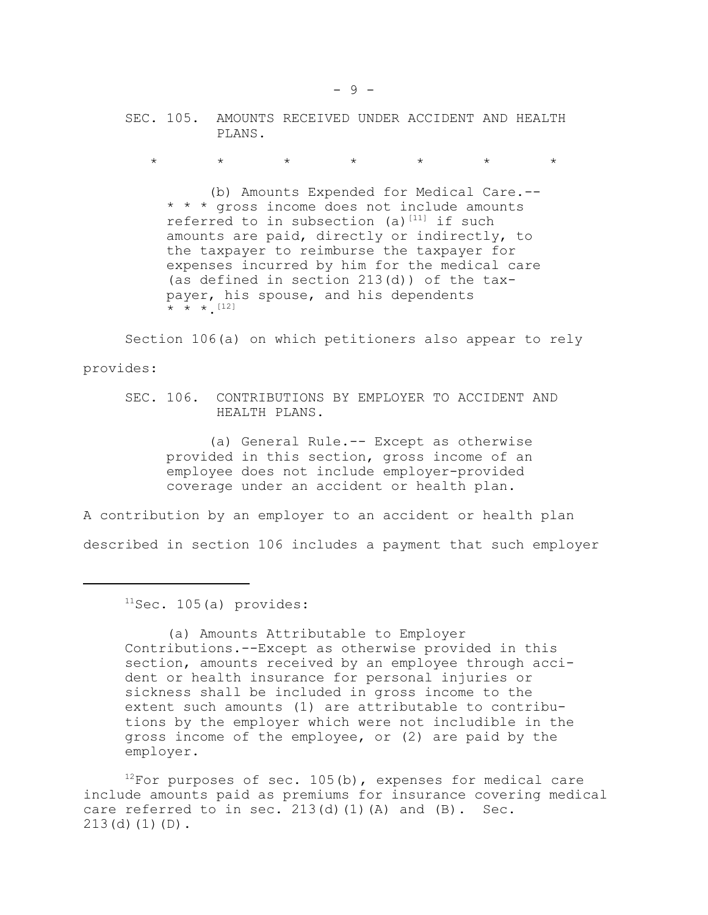SEC. 105. AMOUNTS RECEIVED UNDER ACCIDENT AND HEALTH PLANS.

\* \* \* \* \* \* \*

(b) Amounts Expended for Medical Care.-- \* \* \* gross income does not include amounts referred to in subsection (a)<sup>[11]</sup> if such amounts are paid, directly or indirectly, to the taxpayer to reimburse the taxpayer for expenses incurred by him for the medical care (as defined in section 213(d)) of the taxpayer, his spouse, and his dependents  $\star$   $\star$   $\star$  [12]

Section 106(a) on which petitioners also appear to rely provides:

SEC. 106. CONTRIBUTIONS BY EMPLOYER TO ACCIDENT AND HEALTH PLANS.

(a) General Rule.-- Except as otherwise provided in this section, gross income of an employee does not include employer-provided coverage under an accident or health plan.

A contribution by an employer to an accident or health plan described in section 106 includes a payment that such employer

 $11$ Sec. 105(a) provides:

(a) Amounts Attributable to Employer Contributions.--Except as otherwise provided in this section, amounts received by an employee through accident or health insurance for personal injuries or sickness shall be included in gross income to the extent such amounts (1) are attributable to contributions by the employer which were not includible in the gross income of the employee, or (2) are paid by the employer.

 $12$ For purposes of sec. 105(b), expenses for medical care include amounts paid as premiums for insurance covering medical care referred to in sec.  $213(d)(1)(A)$  and  $(B)$ . Sec.  $213(d)(1)(D)$ .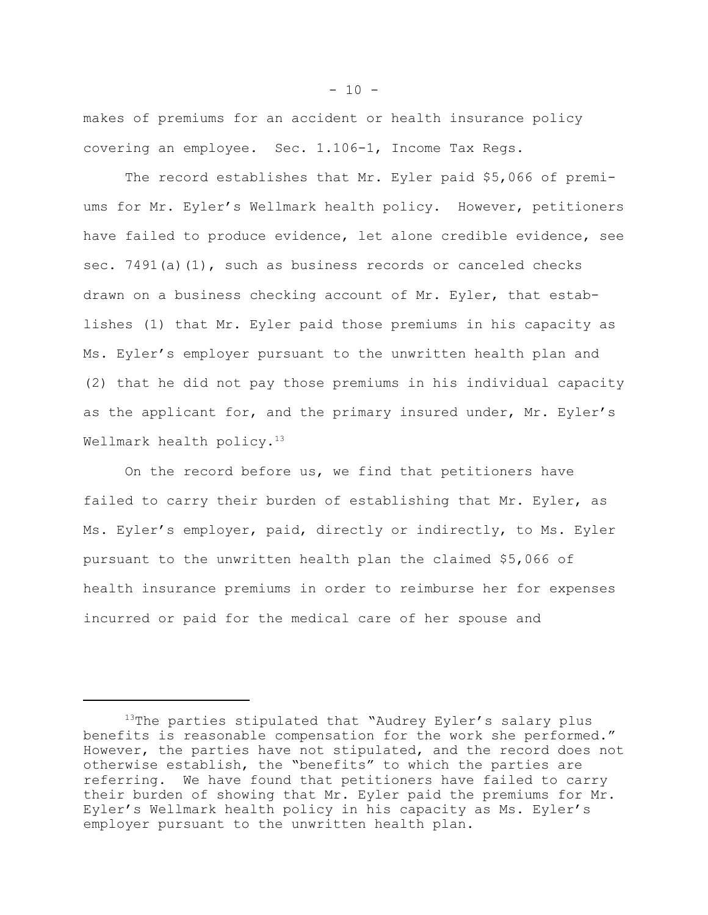makes of premiums for an accident or health insurance policy covering an employee. Sec. 1.106-1, Income Tax Regs.

The record establishes that Mr. Eyler paid \$5,066 of premiums for Mr. Eyler's Wellmark health policy. However, petitioners have failed to produce evidence, let alone credible evidence, see sec. 7491(a)(1), such as business records or canceled checks drawn on a business checking account of Mr. Eyler, that establishes (1) that Mr. Eyler paid those premiums in his capacity as Ms. Eyler's employer pursuant to the unwritten health plan and (2) that he did not pay those premiums in his individual capacity as the applicant for, and the primary insured under, Mr. Eyler's Wellmark health policy.<sup>13</sup>

On the record before us, we find that petitioners have failed to carry their burden of establishing that Mr. Eyler, as Ms. Eyler's employer, paid, directly or indirectly, to Ms. Eyler pursuant to the unwritten health plan the claimed \$5,066 of health insurance premiums in order to reimburse her for expenses incurred or paid for the medical care of her spouse and

<sup>&</sup>lt;sup>13</sup>The parties stipulated that "Audrey Eyler's salary plus benefits is reasonable compensation for the work she performed." However, the parties have not stipulated, and the record does not otherwise establish, the "benefits" to which the parties are referring. We have found that petitioners have failed to carry their burden of showing that Mr. Eyler paid the premiums for Mr. Eyler's Wellmark health policy in his capacity as Ms. Eyler's employer pursuant to the unwritten health plan.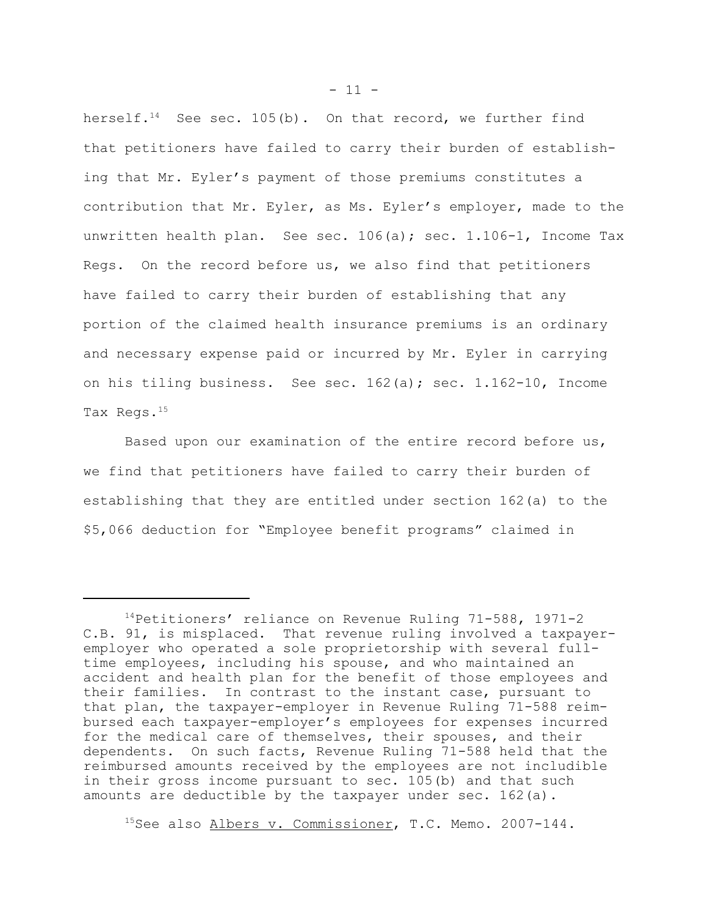herself.<sup>14</sup> See sec. 105(b). On that record, we further find that petitioners have failed to carry their burden of establishing that Mr. Eyler's payment of those premiums constitutes a contribution that Mr. Eyler, as Ms. Eyler's employer, made to the unwritten health plan. See sec.  $106(a)$ ; sec.  $1.106-1$ , Income Tax Regs. On the record before us, we also find that petitioners have failed to carry their burden of establishing that any portion of the claimed health insurance premiums is an ordinary and necessary expense paid or incurred by Mr. Eyler in carrying on his tiling business. See sec. 162(a); sec. 1.162-10, Income Tax Regs.15

Based upon our examination of the entire record before us, we find that petitioners have failed to carry their burden of establishing that they are entitled under section 162(a) to the \$5,066 deduction for "Employee benefit programs" claimed in

<sup>15</sup>See also <u>Albers v. Commissioner</u>, T.C. Memo. 2007-144.

<sup>14</sup>Petitioners' reliance on Revenue Ruling 71-588, 1971-2 C.B. 91, is misplaced. That revenue ruling involved a taxpayeremployer who operated a sole proprietorship with several fulltime employees, including his spouse, and who maintained an accident and health plan for the benefit of those employees and their families. In contrast to the instant case, pursuant to that plan, the taxpayer-employer in Revenue Ruling 71-588 reimbursed each taxpayer-employer's employees for expenses incurred for the medical care of themselves, their spouses, and their dependents. On such facts, Revenue Ruling 71-588 held that the reimbursed amounts received by the employees are not includible in their gross income pursuant to sec. 105(b) and that such amounts are deductible by the taxpayer under sec. 162(a).